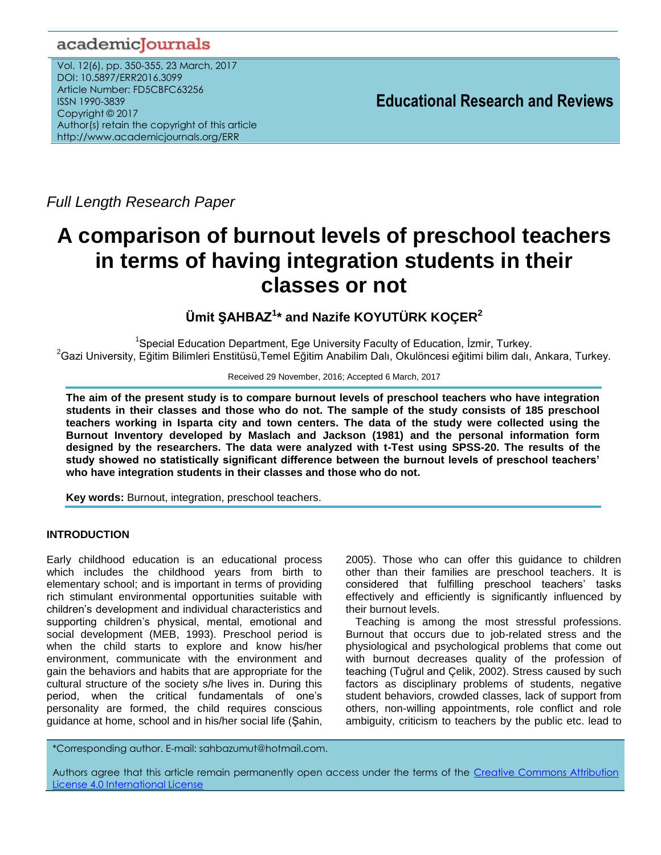# academicJournals

Vol. 12(6), pp. 350-355, 23 March, 2017 DOI: 10.5897/ERR2016.3099 Article Number: FD5CBFC63256 ISSN 1990-3839 Copyright © 2017 Author(s) retain the copyright of this article http://www.academicjournals.org/ERR

**Educational Research and Reviews**

*Full Length Research Paper*

# **A comparison of burnout levels of preschool teachers in terms of having integration students in their classes or not**

**Ümit ŞAHBAZ<sup>1</sup> \* and Nazife KOYUTÜRK KOÇER<sup>2</sup>**

<sup>1</sup>Special Education Department, Ege University Faculty of Education, İzmir, Turkey. <sup>2</sup>Gazi University, Eğitim Bilimleri Enstitüsü,Temel Eğitim Anabilim Dalı, Okulöncesi eğitimi bilim dalı, Ankara, Turkey.

Received 29 November, 2016; Accepted 6 March, 2017

**The aim of the present study is to compare burnout levels of preschool teachers who have integration students in their classes and those who do not. The sample of the study consists of 185 preschool teachers working in Isparta city and town centers. The data of the study were collected using the Burnout Inventory developed by Maslach and Jackson (1981) and the personal information form designed by the researchers. The data were analyzed with t-Test using SPSS-20. The results of the study showed no statistically significant difference between the burnout levels of preschool teachers' who have integration students in their classes and those who do not.** 

**Key words:** Burnout, integration, preschool teachers.

## **INTRODUCTION**

Early childhood education is an educational process which includes the childhood years from birth to elementary school; and is important in terms of providing rich stimulant environmental opportunities suitable with children's development and individual characteristics and supporting children's physical, mental, emotional and social development (MEB, 1993). Preschool period is when the child starts to explore and know his/her environment, communicate with the environment and gain the behaviors and habits that are appropriate for the cultural structure of the society s/he lives in. During this period, when the critical fundamentals of one's personality are formed, the child requires conscious guidance at home, school and in his/her social life (Şahin, 2005). Those who can offer this guidance to children other than their families are preschool teachers. It is considered that fulfilling preschool teachers' tasks effectively and efficiently is significantly influenced by their burnout levels.

Teaching is among the most stressful professions. Burnout that occurs due to job-related stress and the physiological and psychological problems that come out with burnout decreases quality of the profession of teaching (Tuğrul and Çelik, 2002). Stress caused by such factors as disciplinary problems of students, negative student behaviors, crowded classes, lack of support from others, non-willing appointments, role conflict and role ambiguity, criticism to teachers by the public etc. lead to

\*Corresponding author. E-mail: sahbazumut@hotmail.com.

Authors agree that this article remain permanently open access under the terms of the Creative Commons Attribution [License 4.0 International License](file://192.168.1.24/reading/Arts%20and%20Education/ERR/2014/sept/read/Correction%20Pdf%201/ERR-17.04.14-1816/Publication/Creative%20Co)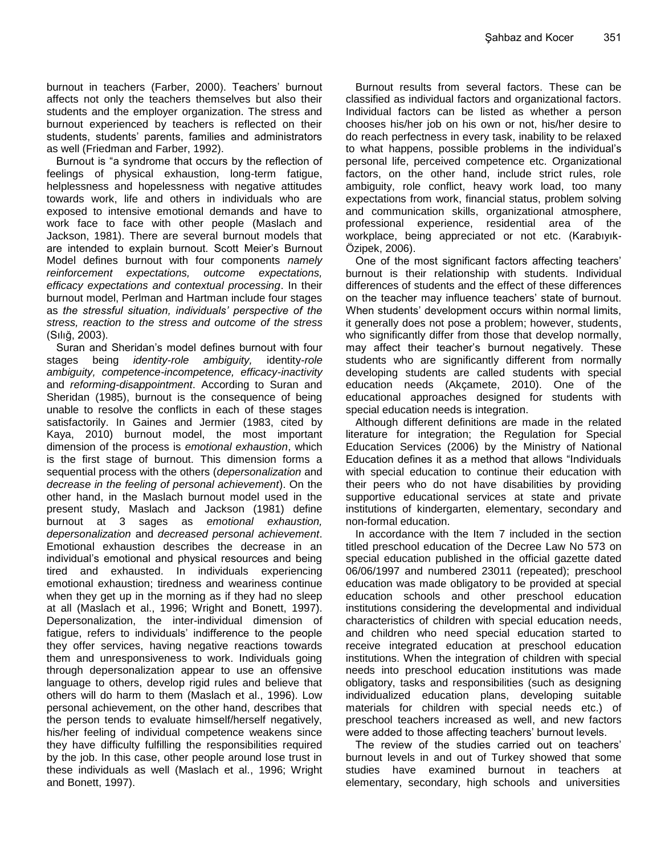burnout in teachers (Farber, 2000). Teachers' burnout affects not only the teachers themselves but also their students and the employer organization. The stress and burnout experienced by teachers is reflected on their students, students' parents, families and administrators as well (Friedman and Farber, 1992).

Burnout is "a syndrome that occurs by the reflection of feelings of physical exhaustion, long-term fatigue, helplessness and hopelessness with negative attitudes towards work, life and others in individuals who are exposed to intensive emotional demands and have to work face to face with other people (Maslach and Jackson, 1981). There are several burnout models that are intended to explain burnout. Scott Meier's Burnout Model defines burnout with four components *namely reinforcement expectations, outcome expectations, efficacy expectations and contextual processing*. In their burnout model, Perlman and Hartman include four stages as *the stressful situation, individuals' perspective of the stress, reaction to the stress and outcome of the stress*  (Sılığ, 2003).

Suran and Sheridan's model defines burnout with four stages being *identity-role ambiguity,* identity*-role ambiguity, competence-incompetence, efficacy-inactivity* and *reforming-disappointment*. According to Suran and Sheridan (1985), burnout is the consequence of being unable to resolve the conflicts in each of these stages satisfactorily. In Gaines and Jermier (1983, cited by Kaya, 2010) burnout model, the most important dimension of the process is *emotional exhaustion*, which is the first stage of burnout. This dimension forms a sequential process with the others (*depersonalization* and *decrease in the feeling of personal achievement*). On the other hand, in the Maslach burnout model used in the present study, Maslach and Jackson (1981) define burnout at 3 sages as *emotional exhaustion, depersonalization* and *decreased personal achievement*. Emotional exhaustion describes the decrease in an individual's emotional and physical resources and being tired and exhausted. In individuals experiencing emotional exhaustion; tiredness and weariness continue when they get up in the morning as if they had no sleep at all (Maslach et al., 1996; Wright and Bonett, 1997). Depersonalization, the inter-individual dimension of fatigue, refers to individuals' indifference to the people they offer services, having negative reactions towards them and unresponsiveness to work. Individuals going through depersonalization appear to use an offensive language to others, develop rigid rules and believe that others will do harm to them (Maslach et al., 1996). Low personal achievement, on the other hand, describes that the person tends to evaluate himself/herself negatively, his/her feeling of individual competence weakens since they have difficulty fulfilling the responsibilities required by the job. In this case, other people around lose trust in these individuals as well (Maslach et al., 1996; Wright and Bonett, 1997).

Burnout results from several factors. These can be classified as individual factors and organizational factors. Individual factors can be listed as whether a person chooses his/her job on his own or not, his/her desire to do reach perfectness in every task, inability to be relaxed to what happens, possible problems in the individual's personal life, perceived competence etc. Organizational factors, on the other hand, include strict rules, role ambiguity, role conflict, heavy work load, too many expectations from work, financial status, problem solving and communication skills, organizational atmosphere, professional experience, residential area of the workplace, being appreciated or not etc. (Karabıyık-Özipek, 2006).

One of the most significant factors affecting teachers' burnout is their relationship with students. Individual differences of students and the effect of these differences on the teacher may influence teachers' state of burnout. When students' development occurs within normal limits, it generally does not pose a problem; however, students, who significantly differ from those that develop normally, may affect their teacher's burnout negatively. These students who are significantly different from normally developing students are called students with special education needs (Akçamete, 2010). One of the educational approaches designed for students with special education needs is integration.

Although different definitions are made in the related literature for integration; the Regulation for Special Education Services (2006) by the Ministry of National Education defines it as a method that allows "Individuals with special education to continue their education with their peers who do not have disabilities by providing supportive educational services at state and private institutions of kindergarten, elementary, secondary and non-formal education.

In accordance with the Item 7 included in the section titled preschool education of the Decree Law No 573 on special education published in the official gazette dated 06/06/1997 and numbered 23011 (repeated); preschool education was made obligatory to be provided at special education schools and other preschool education institutions considering the developmental and individual characteristics of children with special education needs, and children who need special education started to receive integrated education at preschool education institutions. When the integration of children with special needs into preschool education institutions was made obligatory, tasks and responsibilities (such as designing individualized education plans, developing suitable materials for children with special needs etc.) of preschool teachers increased as well, and new factors were added to those affecting teachers' burnout levels.

The review of the studies carried out on teachers' burnout levels in and out of Turkey showed that some studies have examined burnout in teachers at elementary, secondary, high schools and universities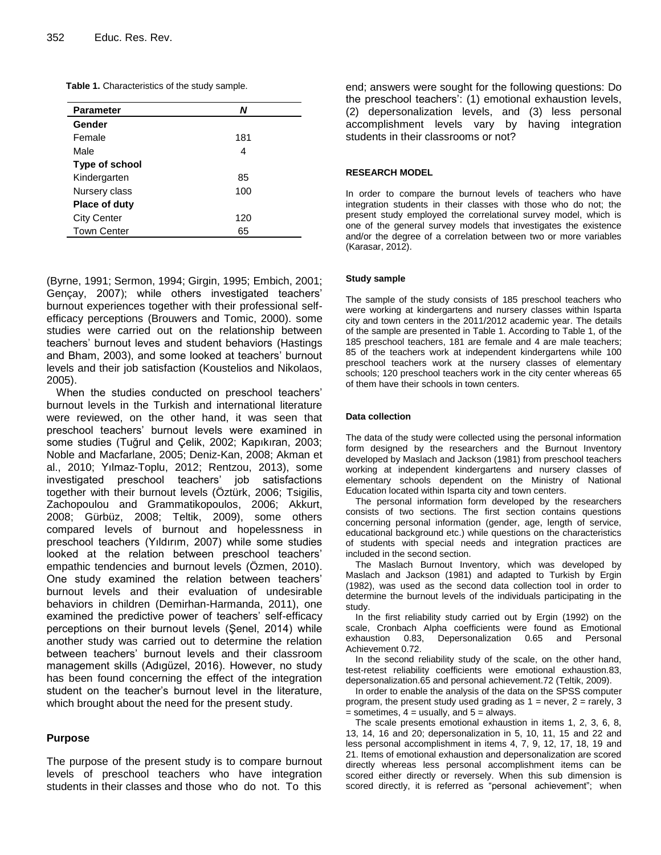|  | Table 1. Characteristics of the study sample. |  |  |
|--|-----------------------------------------------|--|--|
|--|-----------------------------------------------|--|--|

| <b>Parameter</b>     | N   |
|----------------------|-----|
| Gender               |     |
| Female               | 181 |
| Male                 | 4   |
| Type of school       |     |
| Kindergarten         | 85  |
| Nursery class        | 100 |
| <b>Place of duty</b> |     |
| <b>City Center</b>   | 120 |
| <b>Town Center</b>   | 65  |

(Byrne, 1991; Sermon, 1994; Girgin, 1995; Embich, 2001; Gençay, 2007); while others investigated teachers' burnout experiences together with their professional selfefficacy perceptions (Brouwers and Tomic, 2000). some studies were carried out on the relationship between teachers' burnout leves and student behaviors (Hastings and Bham, 2003), and some looked at teachers' burnout levels and their job satisfaction (Koustelios and Nikolaos, 2005).

When the studies conducted on preschool teachers' burnout levels in the Turkish and international literature were reviewed, on the other hand, it was seen that preschool teachers' burnout levels were examined in some studies (Tuğrul and Çelik, 2002; Kapıkıran, 2003; Noble and Macfarlane, 2005; Deniz-Kan, 2008; Akman et al., 2010; Yılmaz-Toplu, 2012; Rentzou, 2013), some investigated preschool teachers' job satisfactions together with their burnout levels (Öztürk, 2006; Tsigilis, Zachopoulou and Grammatikopoulos, 2006; Akkurt, 2008; Gürbüz, 2008; Teltik, 2009), some others compared levels of burnout and hopelessness in preschool teachers (Yıldırım, 2007) while some studies looked at the relation between preschool teachers' empathic tendencies and burnout levels (Özmen, 2010). One study examined the relation between teachers' burnout levels and their evaluation of undesirable behaviors in children (Demirhan-Harmanda, 2011), one examined the predictive power of teachers' self-efficacy perceptions on their burnout levels (Şenel, 2014) while another study was carried out to determine the relation between teachers' burnout levels and their classroom management skills (Adıgüzel, 2016). However, no study has been found concerning the effect of the integration student on the teacher's burnout level in the literature, which brought about the need for the present study.

#### **Purpose**

The purpose of the present study is to compare burnout levels of preschool teachers who have integration students in their classes and those who do not. To this

end; answers were sought for the following questions: Do the preschool teachers': (1) emotional exhaustion levels, (2) depersonalization levels, and (3) less personal accomplishment levels vary by having integration students in their classrooms or not?

#### **RESEARCH MODEL**

In order to compare the burnout levels of teachers who have integration students in their classes with those who do not; the present study employed the correlational survey model, which is one of the general survey models that investigates the existence and/or the degree of a correlation between two or more variables (Karasar, 2012).

#### **Study sample**

The sample of the study consists of 185 preschool teachers who were working at kindergartens and nursery classes within Isparta city and town centers in the 2011/2012 academic year. The details of the sample are presented in Table 1. According to Table 1, of the 185 preschool teachers, 181 are female and 4 are male teachers; 85 of the teachers work at independent kindergartens while 100 preschool teachers work at the nursery classes of elementary schools; 120 preschool teachers work in the city center whereas 65 of them have their schools in town centers.

#### **Data collection**

The data of the study were collected using the personal information form designed by the researchers and the Burnout Inventory developed by Maslach and Jackson (1981) from preschool teachers working at independent kindergartens and nursery classes of elementary schools dependent on the Ministry of National Education located within Isparta city and town centers.

The personal information form developed by the researchers consists of two sections. The first section contains questions concerning personal information (gender, age, length of service, educational background etc.) while questions on the characteristics of students with special needs and integration practices are included in the second section.

The Maslach Burnout Inventory, which was developed by Maslach and Jackson (1981) and adapted to Turkish by Ergin (1982), was used as the second data collection tool in order to determine the burnout levels of the individuals participating in the study.

In the first reliability study carried out by Ergin (1992) on the scale, Cronbach Alpha coefficients were found as Emotional exhaustion 0.83, Depersonalization 0.65 and Personal Achievement 0.72.

In the second reliability study of the scale, on the other hand, test-retest reliability coefficients were emotional exhaustion.83, depersonalization.65 and personal achievement.72 (Teltik, 2009).

In order to enable the analysis of the data on the SPSS computer program, the present study used grading as  $1 =$  never,  $2 =$  rarely,  $3 =$  $=$  sometimes,  $4 =$  usually, and  $5 =$  always.

The scale presents emotional exhaustion in items 1, 2, 3, 6, 8, 13, 14, 16 and 20; depersonalization in 5, 10, 11, 15 and 22 and less personal accomplishment in items 4, 7, 9, 12, 17, 18, 19 and 21. Items of emotional exhaustion and depersonalization are scored directly whereas less personal accomplishment items can be scored either directly or reversely. When this sub dimension is scored directly, it is referred as "personal achievement"; when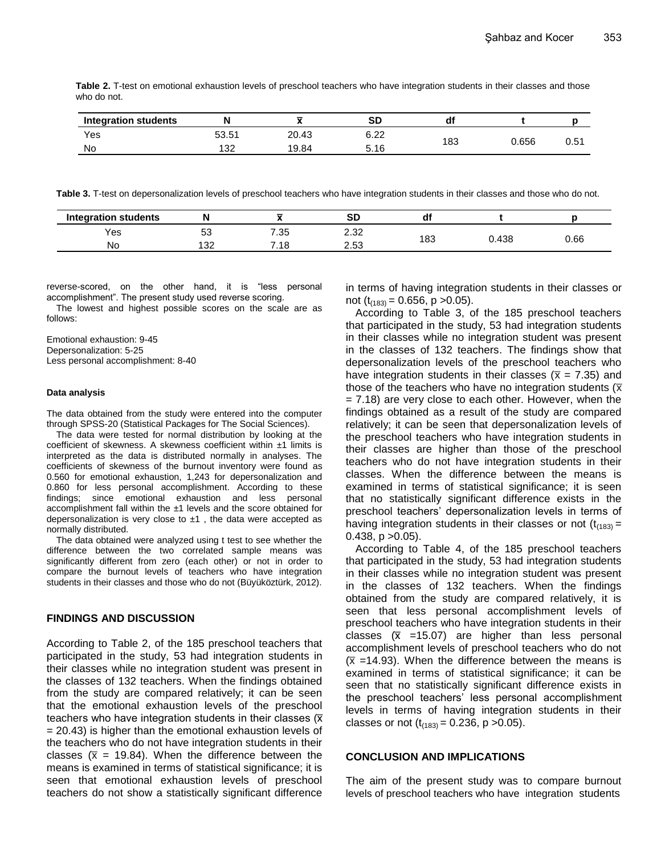| Table 2. T-test on emotional exhaustion levels of preschool teachers who have integration students in their classes and those |  |  |  |
|-------------------------------------------------------------------------------------------------------------------------------|--|--|--|
| who do not.                                                                                                                   |  |  |  |

| <b>Integration students</b> |       | -<br>~ | SD   | di  |       |     |
|-----------------------------|-------|--------|------|-----|-------|-----|
| Yes                         | 53.51 | 20.43  | 6.22 |     |       |     |
| <b>No</b>                   | 132   | 19.84  | 5.16 | 183 | 0.656 | U.O |

**Table 3.** T-test on depersonalization levels of preschool teachers who have integration students in their classes and those who do not.

| <b>Integration students</b> |            |      | <u>or</u><br>งเ |     |     |      |
|-----------------------------|------------|------|-----------------|-----|-----|------|
| Yes                         | -0<br>ບບ   | 7.35 | റ ററ<br>Z.JZ    |     | 438 |      |
| No                          | 122<br>ے ت | ึ.18 | つよつ<br>د ت      | 183 |     | 0.66 |

reverse-scored, on the other hand, it is "less personal accomplishment". The present study used reverse scoring.

The lowest and highest possible scores on the scale are as follows:

Emotional exhaustion: 9-45 Depersonalization: 5-25 Less personal accomplishment: 8-40

#### **Data analysis**

The data obtained from the study were entered into the computer through SPSS-20 (Statistical Packages for The Social Sciences).

The data were tested for normal distribution by looking at the coefficient of skewness. A skewness coefficient within ±1 limits is interpreted as the data is distributed normally in analyses. The coefficients of skewness of the burnout inventory were found as 0.560 for emotional exhaustion, 1,243 for depersonalization and 0.860 for less personal accomplishment. According to these findings; since emotional exhaustion and less personal accomplishment fall within the ±1 levels and the score obtained for depersonalization is very close to  $±1$  , the data were accepted as normally distributed.

The data obtained were analyzed using t test to see whether the difference between the two correlated sample means was significantly different from zero (each other) or not in order to compare the burnout levels of teachers who have integration students in their classes and those who do not (Büyüköztürk, 2012).

#### **FINDINGS AND DISCUSSION**

According to Table 2, of the 185 preschool teachers that participated in the study, 53 had integration students in their classes while no integration student was present in the classes of 132 teachers. When the findings obtained from the study are compared relatively; it can be seen that the emotional exhaustion levels of the preschool teachers who have integration students in their classes  $(\overline{x})$ = 20.43) is higher than the emotional exhaustion levels of the teachers who do not have integration students in their classes ( $\bar{x}$  = 19.84). When the difference between the means is examined in terms of statistical significance; it is seen that emotional exhaustion levels of preschool teachers do not show a statistically significant difference in terms of having integration students in their classes or not  $(t_{(183)} = 0.656, p > 0.05)$ .

According to Table 3, of the 185 preschool teachers that participated in the study, 53 had integration students in their classes while no integration student was present in the classes of 132 teachers. The findings show that depersonalization levels of the preschool teachers who have integration students in their classes ( $\bar{x}$  = 7.35) and those of the teachers who have no integration students ( $\bar{x}$ ) = 7.18) are very close to each other. However, when the findings obtained as a result of the study are compared relatively; it can be seen that depersonalization levels of the preschool teachers who have integration students in their classes are higher than those of the preschool teachers who do not have integration students in their classes. When the difference between the means is examined in terms of statistical significance; it is seen that no statistically significant difference exists in the preschool teachers' depersonalization levels in terms of having integration students in their classes or not  $(t<sub>(183)</sub>)$  =  $0.438$ ,  $p > 0.05$ ).

According to Table 4, of the 185 preschool teachers that participated in the study, 53 had integration students in their classes while no integration student was present in the classes of 132 teachers. When the findings obtained from the study are compared relatively, it is seen that less personal accomplishment levels of preschool teachers who have integration students in their classes  $(\overline{x} = 15.07)$  are higher than less personal accomplishment levels of preschool teachers who do not  $(\overline{x})$  =14.93). When the difference between the means is examined in terms of statistical significance; it can be seen that no statistically significant difference exists in the preschool teachers' less personal accomplishment levels in terms of having integration students in their classes or not  $(t<sub>(183)</sub> = 0.236, p > 0.05)$ .

#### **CONCLUSION AND IMPLICATIONS**

The aim of the present study was to compare burnout levels of preschool teachers who have integration students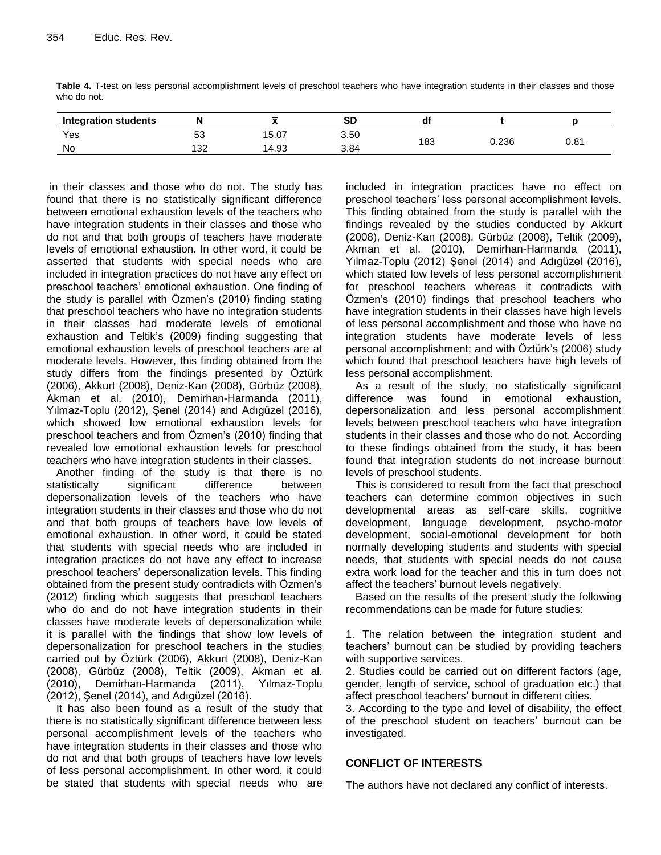| <b>Integration students</b> |         |       | <b>SD</b> | dt  |       |            |
|-----------------------------|---------|-------|-----------|-----|-------|------------|
| Yes                         | 52<br>ິ | 15.07 | 3.50      |     |       | $^{\circ}$ |
| No                          | 132     | 14.93 | 3.84      | 183 | 0.236 | u.o i      |

**Table 4.** T-test on less personal accomplishment levels of preschool teachers who have integration students in their classes and those who do not.

in their classes and those who do not. The study has found that there is no statistically significant difference between emotional exhaustion levels of the teachers who have integration students in their classes and those who do not and that both groups of teachers have moderate levels of emotional exhaustion. In other word, it could be asserted that students with special needs who are included in integration practices do not have any effect on preschool teachers' emotional exhaustion. One finding of the study is parallel with Özmen's (2010) finding stating that preschool teachers who have no integration students in their classes had moderate levels of emotional exhaustion and Teltik's (2009) finding suggesting that emotional exhaustion levels of preschool teachers are at moderate levels. However, this finding obtained from the study differs from the findings presented by Öztürk (2006), Akkurt (2008), Deniz-Kan (2008), Gürbüz (2008), Akman et al. (2010), Demirhan-Harmanda (2011), Yılmaz-Toplu (2012), Şenel (2014) and Adıgüzel (2016), which showed low emotional exhaustion levels for preschool teachers and from Özmen's (2010) finding that revealed low emotional exhaustion levels for preschool teachers who have integration students in their classes.

Another finding of the study is that there is no statistically significant difference between depersonalization levels of the teachers who have integration students in their classes and those who do not and that both groups of teachers have low levels of emotional exhaustion. In other word, it could be stated that students with special needs who are included in integration practices do not have any effect to increase preschool teachers' depersonalization levels. This finding obtained from the present study contradicts with Özmen's (2012) finding which suggests that preschool teachers who do and do not have integration students in their classes have moderate levels of depersonalization while it is parallel with the findings that show low levels of depersonalization for preschool teachers in the studies carried out by Öztürk (2006), Akkurt (2008), Deniz-Kan (2008), Gürbüz (2008), Teltik (2009), Akman et al. (2010), Demirhan-Harmanda (2011), Yılmaz-Toplu (2012), Şenel (2014), and Adıgüzel (2016).

It has also been found as a result of the study that there is no statistically significant difference between less personal accomplishment levels of the teachers who have integration students in their classes and those who do not and that both groups of teachers have low levels of less personal accomplishment. In other word, it could be stated that students with special needs who are

included in integration practices have no effect on preschool teachers' less personal accomplishment levels. This finding obtained from the study is parallel with the findings revealed by the studies conducted by Akkurt (2008), Deniz-Kan (2008), Gürbüz (2008), Teltik (2009), Akman et al. (2010), Demirhan-Harmanda (2011), Yılmaz-Toplu (2012) Şenel (2014) and Adıgüzel (2016), which stated low levels of less personal accomplishment for preschool teachers whereas it contradicts with Özmen's (2010) findings that preschool teachers who have integration students in their classes have high levels of less personal accomplishment and those who have no integration students have moderate levels of less personal accomplishment; and with Öztürk's (2006) study which found that preschool teachers have high levels of less personal accomplishment.

As a result of the study, no statistically significant difference was found in emotional exhaustion, depersonalization and less personal accomplishment levels between preschool teachers who have integration students in their classes and those who do not. According to these findings obtained from the study, it has been found that integration students do not increase burnout levels of preschool students.

This is considered to result from the fact that preschool teachers can determine common objectives in such developmental areas as self-care skills, cognitive development, language development, psycho-motor development, social-emotional development for both normally developing students and students with special needs, that students with special needs do not cause extra work load for the teacher and this in turn does not affect the teachers' burnout levels negatively.

Based on the results of the present study the following recommendations can be made for future studies:

1. The relation between the integration student and teachers' burnout can be studied by providing teachers with supportive services.

2. Studies could be carried out on different factors (age, gender, length of service, school of graduation etc.) that affect preschool teachers' burnout in different cities.

3. According to the type and level of disability, the effect of the preschool student on teachers' burnout can be investigated.

## **CONFLICT OF INTERESTS**

The authors have not declared any conflict of interests.